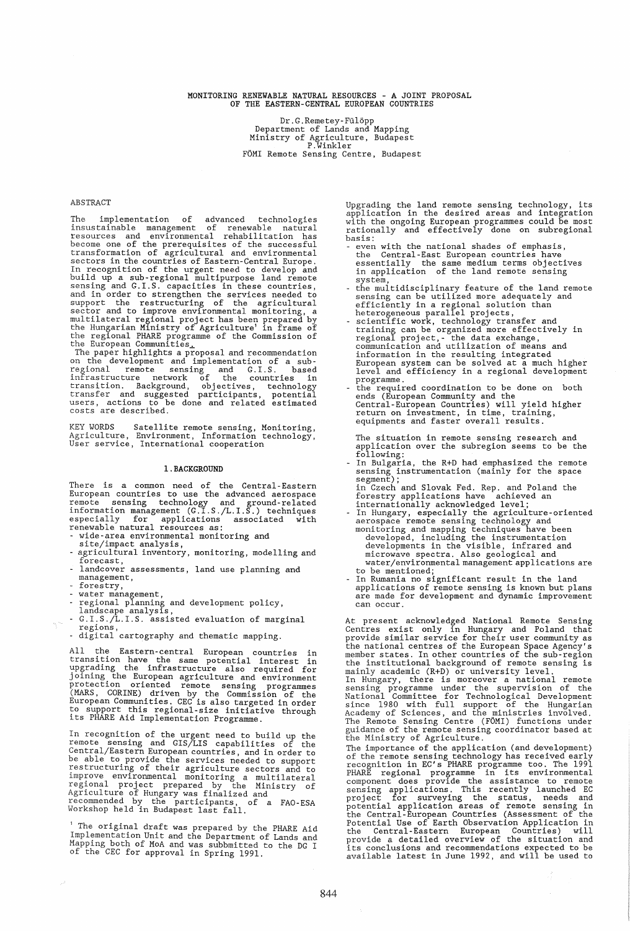# MONITORING RENEWABLE NATURAL RESOURCES - A JOINT PROPOSAL OF THE EASTERN-CENTRAL EUROPEAN COUNTRIES

Dr.G.Remetey-Fu16pp Department of Lands and Mapping Ministry of Agriculture, Budapest P.Winkler FOMI Remote Sensing Centre, Budapest

## ABSTRACT

The implementation of advanced technologies<br>insustainable management of renewable natural<br>resources and environmental rehabilitation has<br>become one of the prerequisites of the successful<br>transformation of agricultural and In recognition of the urgent need to develop and<br>build up a sub-regional multipurpose land remote<br>sensing and G.I.S. capacities in these countries,<br>and in order to strengthen the services needed to<br>support the restructurin

KEY WORDS Satellite remote sensing, Monitoring, Agriculture, Environment, Information technology, User service, International cooperation

## I. BACKGROUND

There is a common need of the Central-Eastern<br>European countries to use the advanced aerospace<br>remote sensing technology and ground-related<br>information management (G.I.S./L.I.S.) techniques<br>especially for applications asso

- 
- 
- wide-area environmental monitoring and site/impact analysis, agricultural inventory, monitoring, modelling and forecast, - landcover assessments, land use planning and
- management,
- forestry,
- 
- water management,<br>- regional planning and development policy,<br>landscape analysis,<br>- G.I.S./L.I.S. assisted evaluation of marginal<br>regions,
- .<br>- digital cartography and thematic mapping.

All the Eastern-central European countries in<br>transition have the same potential interest in<br>upgrading the infrastructure also required for<br>joining the European agriculture and environment<br>protection oriented remote sensin

In recognition of the urgent need to build up the<br>remote sensing and GIS/LIS capabilities of the<br>Central/Eastern European countries, and in order to<br>be able to provide the services needed to support<br>restructuring of their

1 The original draft was prepared by the PHARE Aid Implementation Unit and the Department of Lands and Mapping both of MoA and was subbmitted to the DG I of the CEC for approval in Spring 1991.

Upgrading the land remote sensing technology, its application in the desired areas and integration with the ongoing European programmes could be most rationally and effectively done on subregional basis:

- even with the national shades of emphasis, the Central-East European countries have essentially the same medium terms objectives in application of the land remote sensing
- 
- system,<br>the multidisciplinary feature of the land remote<br>sensing can be utilized more adequately and<br>efficiently in a regional solution than<br>heterogeneous parallel projects,<br>scientific work, technology transfer and<br>trainin
- the required coordination to be done on both ends (European Community and the Central-European Countries) will yield higher return on investment, in time, training, equipments and faster overall results.

The situation in remote sensing research and application over the subregion seems to be the

following: - In Bulgaria, the R+D had emphasized the remote sensing instrumentation (mainly for the space segment);

- in Czech and Slovak Fed. Rep. and Poland the<br>forestry applications have achieved an<br>internationally acknowledged level;<br>In Hungary, especially the agriculture-oriented<br>aerospace remote sensing technology and<br>monitoring and
- to be mentioned; In Rumania no significant result in the land applications of remote sensing is known but plans are made for development and dynamic improvement can occur.

At present acknowledged National Remote Sensing<br>Centres exist only in Hungary and Poland that<br>provide similar service for their user community as<br>the national centres of the European Space Agency's<br>member states. In other

The importance of the application (and development) of the remote sensing technology has received early<br>recognition in EC's PHARE programme too. The 1991<br>PHARE regional programme in its environmental<br>component does provide the assistance to remote<br>sensing applications. This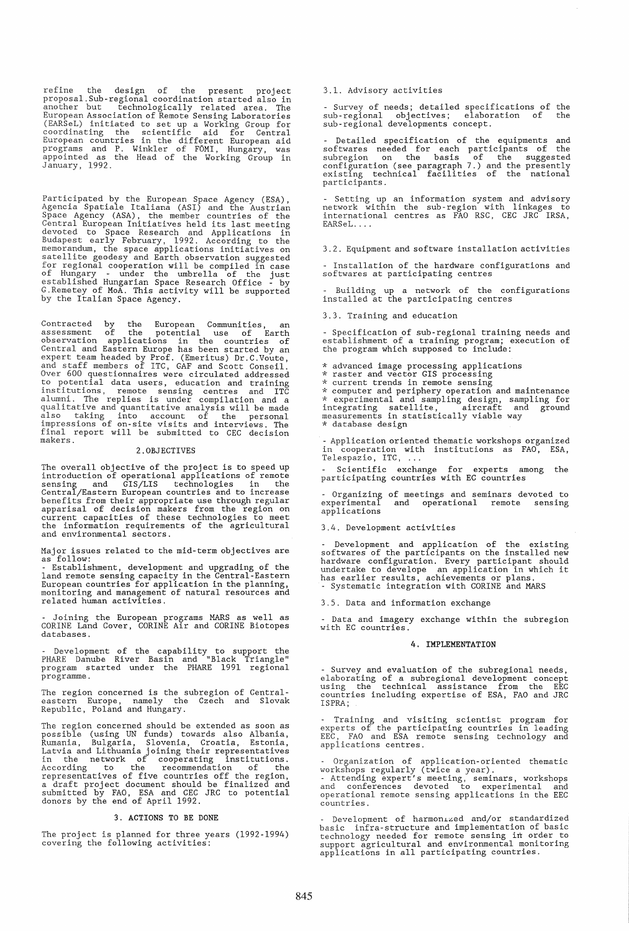refine the design of the present project<br>proposal.Sub-regional coordination started also in<br>another but technologically related area. The European Association of Remote Sensing Laboratories (EARSeL) initiated to set up a Working Group for coordinating the scientific aid for Central European countries in the different European aid programs and P. Winkler of F

Participated by the European Space Agency (ESA), Agencia Spatiale Italiana (ASI) and the Austrian Space Agency (ASA), the member countries of the Space Agency Central European Initiatives held its last meeting devoted to S for regional cooperation will be compiled in case<br>of Hungary - under the umbrella of the just<br>established Hungarian Space Research Office - by<br>G.Remetey of MoA. This activity will be supported<br>by the Italian Space Agency.

Contracted by the European Communities, an<br>assessment of the potential use of Earth<br>observation applications in the countries of<br>Central and Eastern Europe has been started by an<br>expert team headed by Prof. (Emeritus) Dr.C

## 2.0BJECTIVES

The overall objective of the project is to speed up<br>introduction of operational applications of remote<br>sensing and GIS/LIS technologies in the<br>Central/Eastern European countries and to increase<br>benefits from their appropri

Major issues related to the mid-term objectives are follow:

- Establishment, development and upgrading of the<br>land remote sensing capacity in the Central-Eastern<br>European countries for application in the planning,<br>monitoring and management of natural resources and<br>related human act

- Joining the European programs MARS as well as CORINE Land Cover, CORINE Air and CORINE Biotopes databases.

Development of the capability to support the PHARE Danube River Basin and "Black Triangle" program started under the PHARE 1991 regional programme.

The region concerned is the subregion of Centraleastern Europe, namely the Czech and Slovak Republic, Poland and Hungary.

The region concerned should be extended as soon as<br>possible (using UN funds) towards also Albania,<br>Rumania, Bulgaria, Slovenia, Croatia, Estonia,<br>Latvia and Lithuania joining their representatives<br>in the network of coopera

## 3. ACTIONS TO BE DONE

The project is planned for three years (1992-1994) covering the following activities:

## 3.1. Advisory activities

- Survey of needs; detailed specifications of the sub-regional objectives; elaboration of the sub-regional developments concept.

- Detailed specification of the equipments and<br>softwares needed for each participants of the<br>subregion on the basis of the suggested<br>configuration (see paragraph 7.) and the presently<br>existing technical facilities of the n participants.

- Setting up an information system and advisory network within the sub-region with linkages to international centres as FAa RSC, CEC JRC IRSA, EARSeL. ...

3.2. Equipment and software installation activities

- Installation of the hardware configurations and softwares at participating centres

Building up a network of the configurations installed at the participating centres

3.3. Training and education

- Specification of sub-regional training needs and establishment of a training program; execution of the program which supposed to include:

- 
- 
- 

\* advanced image processing applications \* raster and vector GIS processing \* current trends in remote sensing \* computer and periphery operation and maintenance \* experimental and sampling design, sampling for integrating satellite, aircraft and ground measurements in statistically viable way \* database design

- Application oriented thematic workshops organized<br>in cooperation with institutions as FAO, ESA,<br>Telespazio, ITC, ...

- Scientific exchange for experts among the<br>participating countries with EC countries

- Organizing of meetings and seminars devoted to experimental and operational remote sensing experimental<br>applications

#### 3.4. Development activities

Development and application of the existing softwares of the participants on the installed new hardware configuration. Every participant should undertake to develope an application in which it has earlier results, achievements or plans.<br>- Systematic integration with CORINE and MARS

3.5. Data and information exchange

- Data and imagery exchange within the subregion with EC countries.

#### 4. IMPLEMENTATION

- Survey and evaluation of the subregional needs, elaborating of a subregional development concept using the technical assistance from the EEC countries including expertise of ESA, FAO and JRC ISPRA;

- Training and visiting scientist program for<br>experts of the participating countries in leading<br>EEC, FAO and ESA remote sensing technology and applications centres.

- Organization of application-oriented thematic<br>workshops regularly (twice a year).<br>- Attending expert's meeting, seminars, workshops<br>and conferences devoted to experimental and<br>operational remote sensing applications in t countries.

 $Development$  of harmonized and/or standardized basic infra-structure and implementation of basic technology needed for remote sensing irt order to support agricultural and environmental monitoring applications in all participating countries.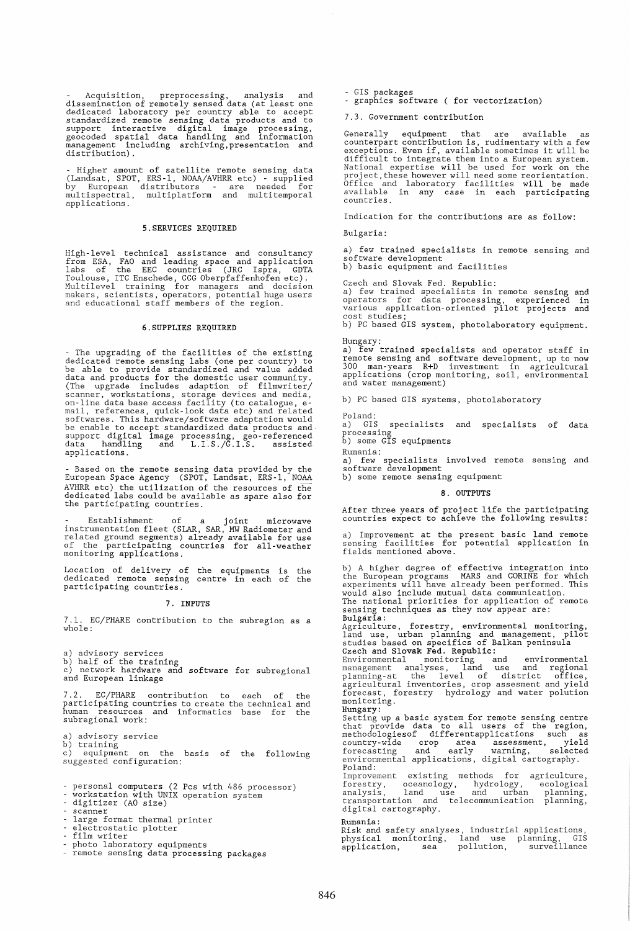- Acquisition, preprocessing, analysis and<br>dissemination of remotely sensed data (at least one<br>dedicated laboratory per country able to accept<br>standardized remote sensing data products and to<br>support interactive digital<br>ge management in<br>distribution).

- Higher amount of satellite remote sensing data<br>(Landsat, SPOT, ERS-1, NOAA/AVHRR etc) - supplied<br>by European distributors - are needed for<br>multispectral, multiplatform and multitemporal applications.

## 5.SERVICES REQUIRED

High-level technical assistance and consultancy<br>from ESA, FAO and leading space and application<br>labs of the EEC countries (JRC Ispra, GDTA<br>Toulouse, ITC Enschede, CCG Oberpfaffenhofen etc).<br>Multilevel training for managers

# 6.SUPPLIES REQUIRED

- The upgrading of the facilities of the existing<br>dedicated remote sensing labs (one per country) to<br>be able to provide standardized and value added<br>data and products for the domestic user community.<br>(The upgrade includes applications.

- Based on the remote sensing data provided by the<br>European Space Agency (SPOT, Landsat, ERS-1, NOAA<br>AVHRR etc) the utilization of the resources of the<br>dedicated labs could be available as spare also for<br>the participating

- Establishment of a joint microwave<br>instrumentation fleet (SLAR, SAR, MW Radiometer and<br>related ground segments) already available for use<br>of the participating countries for all-weather<br>monitoring applications.

Location of delivery of the equipments is the dedicated remote sensing centre in each of the participating countries.

#### 7. INPUTS

7.1. EC/PHARE contribution to the subregion as a whole:

a) advisory services<br>b) half of the training<br>c) network hardware and software for subregional and European linkage

7.2. EC/PHARE contribution to each of the participating countries to create the technical and human resources and informatics base for the subregional work:

a) advisory service

b) training<br>c) equipment on the basis of the following suggested configuration:

- personal computers (2 Pcs with 486 processor)<br>- workstation with UNIX operation system<br>- digitizer (AO size)<br>- scanner
- 

- large format thermal printer electrostatic plotter
- electrostau<br>- film writer

- 
- photo laboratory equipments remote sensing data processing packages

- GIS packages - graphics software ( for vectorization)

7.3. Government contribution

Generally equipment that are available as counterpart contribution is, rudimentary with a few exceptions. Even if, available sometimes it will be difficult to integrate them into a European system. National expertise will be used for work on the project, these however will need some reorientation.<br>Office and laboratory facilities will be made<br>available in any case in each participating countries.

Indication for the contributions are as follow:

Bulgaria:

a) few trained specialists in remote sensing and software development

b) basic equipment and facilities

Czech and Slovak Fed. Republic:

a) few trained specialists in remote sensing and operators for data processing, experienced in various application-oriented pilot projects and cost studies; b) PC based GIS system, photolaboratory equipment.

Hungary: A few trained specialists and operator staff in remote sensing and software development, up to now 300 man-years R+D investment in agricultural applications (crop monitoring, soil, environmental and water management)

b) PC based GIS systems, photolaboratory

Poland:<br>a) GIS

specialists and specialists of data processing<br>b) some GIS equipments

Rumania:

a) few specialists involved remote sensing and software development

b) some remote sensing equipment

#### 8. OUTPUTS

After three years of project life the participating countries expect to achieve the following results:

a) Improvement at the present basic land remote sensing facilities for potential application in fields mentioned above.

b) A higher degree of effective integration into<br>the European programs MARS and CORINE for which<br>experiments will have already been performed. This<br>would also include mutual data communication. The national priorities for application of remote sensing techniques as they now appear are: Bulgaria: Agriculture, forestry, environmental monitoring, land use, urban planning and management, pilot studies based on specifics of Balkan peninsula Czech and Slovak Fed. Republic:<br>Environmental monitoring and environmental<br>management analyses, land use and regional<br>planning-at the level of district office,<br>agricultural inventories, crop assesment and yield<br>forecast, f monitoring. Hungary: Setting up a basic system for remote sensing centre<br>that provide data to all users of the region,<br>methodologiesof differentapplications such as<br>country-wide crop area assessment, yield<br>forecasting and early warning, select environmental applications, digital cartography. Poland: Improvement existing methods for forestry, oceanology, hydrology, analysis, land use and urban Improvement existing methods for agriculture,<br>forestry, oceanology, hydrology, ecological<br>analysis, land use and urban planning,<br>transportation and telecommunication planning,<br>digital cartography. Rumania: Risk and safety analyses, industrial applications, physical monitoring, land use planning, GIS application, sea pollution, surveillance